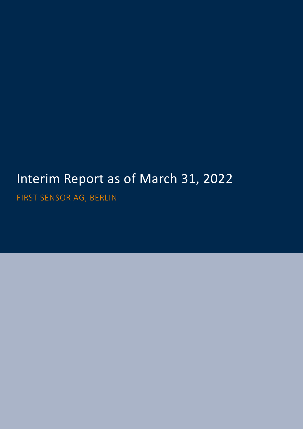# Interim Report as of March 31, 2022

FIRST SENSOR AG, BERLIN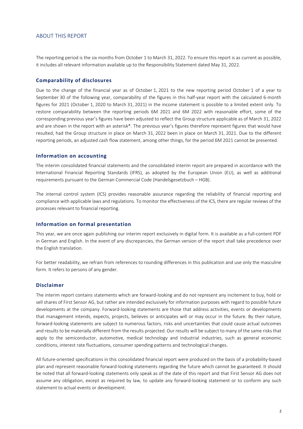#### ABOUT THIS REPORT

The reporting period is the six months from October 1 to March 31, 2022. To ensure this report is as current as possible, it includes all relevant information available up to the Responsibility Statement dated May 31, 2022.

#### **Comparability of disclosures**

Due to the change of the financial year as of October 1, 2021 to the new reporting period October 1 of a year to September 30 of the following year, comparability of the figures in this half-year report with the calculated 6-month figures for 2021 (October 1, 2020 to March 31, 2021) in the income statement is possible to a limited extent only. To restore comparability between the reporting periods 6M 2021 and 6M 2022 with reasonable effort, some of the corresponding previous year's figures have been adjusted to reflect the Group structure applicable as of March 31, 2022 and are shown in the report with an asterisk\*. The previous year's figures therefore represent figures that would have resulted, had the Group structure in place on March 31, 2022 been in place on March 31, 2021. Due to the different reporting periods, an adjusted cash flow statement, among other things, for the period 6M 2021 cannot be presented.

#### **Information on accounting**

The interim consolidated financial statements and the consolidated interim report are prepared in accordance with the International Financial Reporting Standards (IFRS), as adopted by the European Union (EU), as well as additional requirements pursuant to the German Commercial Code (Handelsgesetzbuch – HGB).

The internal control system (ICS) provides reasonable assurance regarding the reliability of financial reporting and compliance with applicable laws and regulations. To monitor the effectiveness of the ICS, there are regular reviews of the processes relevant to financial reporting.

#### **Information on formal presentation**

This year, we are once again publishing our interim report exclusively in digital form. It is available as a full-content PDF in German and English. In the event of any discrepancies, the German version of the report shall take precedence over the English translation.

For better readability, we refrain from references to rounding differences in this publication and use only the masculine form. It refers to persons of any gender.

#### **Disclaimer**

The interim report contains statements which are forward-looking and do not represent any incitement to buy, hold or sell shares of First Sensor AG, but rather are intended exclusively for information purposes with regard to possible future developments at the company. Forward-looking statements are those that address activities, events or developments that management intends, expects, projects, believes or anticipates will or may occur in the future. By their nature, forward-looking statements are subject to numerous factors, risks and uncertainties that could cause actual outcomes and results to be materially different from the results projected. Our results will be subject to many of the same risks that apply to the semiconductor, automotive, medical technology and industrial industries, such as general economic conditions, interest rate fluctuations, consumer spending patterns and technological changes.

All future-oriented specifications in this consolidated financial report were produced on the basis of a probability-based plan and represent reasonable forward-looking statements regarding the future which cannot be guaranteed. It should be noted that all forward-looking statements only speak as of the date of this report and that First Sensor AG does not assume any obligation, except as required by law, to update any forward-looking statement or to conform any such statement to actual events or development.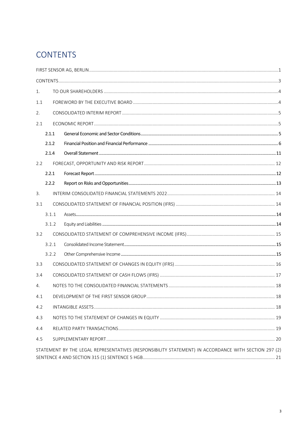# <span id="page-2-0"></span>**CONTENTS**

| 1.  |       |                                                                                                      |  |
|-----|-------|------------------------------------------------------------------------------------------------------|--|
| 1.1 |       |                                                                                                      |  |
| 2.  |       |                                                                                                      |  |
| 2.1 |       |                                                                                                      |  |
|     | 2.1.1 |                                                                                                      |  |
|     | 2.1.2 |                                                                                                      |  |
|     | 2.1.4 |                                                                                                      |  |
| 2.2 |       |                                                                                                      |  |
|     | 2.2.1 |                                                                                                      |  |
|     | 2.2.2 |                                                                                                      |  |
| 3.  |       |                                                                                                      |  |
| 3.1 |       |                                                                                                      |  |
|     | 3.1.1 |                                                                                                      |  |
|     | 3.1.2 |                                                                                                      |  |
| 3.2 |       |                                                                                                      |  |
|     | 3.2.1 |                                                                                                      |  |
|     | 3.2.2 |                                                                                                      |  |
| 3.3 |       |                                                                                                      |  |
| 3.4 |       |                                                                                                      |  |
| 4.  |       |                                                                                                      |  |
| 4.1 |       |                                                                                                      |  |
| 4.2 |       |                                                                                                      |  |
| 4.3 |       |                                                                                                      |  |
| 4.4 |       |                                                                                                      |  |
| 4.5 |       |                                                                                                      |  |
|     |       | STATEMENT BY THE LEGAL REPRESENTATIVES (RESPONSIBILITY STATEMENT) IN ACCORDANCE WITH SECTION 297 (2) |  |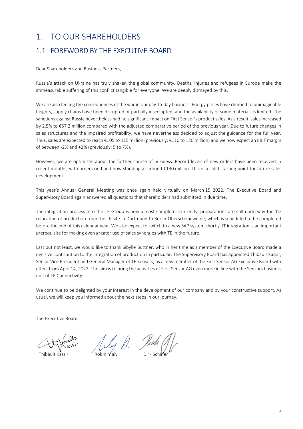# <span id="page-3-0"></span>1. TO OUR SHAREHOLDERS

# <span id="page-3-1"></span>1.1 FOREWORD BY THE EXECUTIVE BOARD

Dear Shareholders and Business Partners,

Russia's attack on Ukraine has truly shaken the global community. Deaths, injuries and refugees in Europe make the immeasurable suffering of this conflict tangible for everyone. We are deeply dismayed by this.

We are also feeling the consequences of the war in our day-to-day business. Energy prices have climbed to unimaginable heights, supply chains have been disrupted or partially interrupted, and the availability of some materials is limited. The sanctions against Russia nevertheless had no significant impact on First Sensor's product sales. As a result, sales increased by 2.5% to €57.2 million compared with the adjusted comparative period of the previous year. Due to future changes in sales structures and the impaired profitability, we have nevertheless decided to adjust the guidance for the full year. Thus, sales are expected to reach €105 to 115 million (previously: €110 to 120 million) and we now expect an EBIT margin of between -2% and +2% (previously: 5 to 7%).

However, we are optimistic about the further course of business. Record levels of new orders have been received in recent months, with orders on hand now standing at around €130 million. This is a solid starting point for future sales development.

This year's Annual General Meeting was once again held virtually on March 15, 2022. The Executive Board and Supervisory Board again answered all questions that shareholders had submitted in due time.

The integration process into the TE Group is now almost complete. Currently, preparations are still underway for the relocation of production from the TE site in Dortmund to Berlin-Oberschöneweide, which is scheduled to be completed before the end of this calendar year. We also expect to switch to a new SAP system shortly. IT integration is an important prerequisite for making even greater use of sales synergies with TE in the future.

Last but not least, we would like to thank Sibylle Büttner, who in her time as a member of the Executive Board made a decisive contribution to the integration of production in particular. The Supervisory Board has appointed Thibault Kassir, Senior Vice President and General Manager of TE Sensors, as a new member of the First Sensor AG Executive Board with effect from April 14, 2022. The aim is to bring the activities of First Sensor AG even more in line with the Sensors business unit of TE Connectivity.

We continue to be delighted by your interest in the development of our company and by your constructive support. As usual, we will keep you informed about the next steps in our journey.

The Executive Board

Thibault Kassir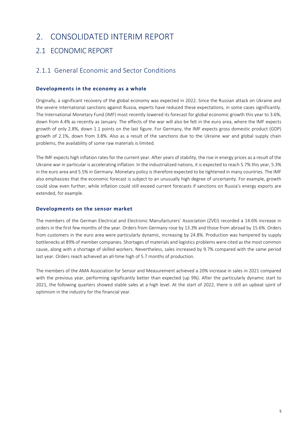# <span id="page-4-0"></span>2. CONSOLIDATED INTERIM REPORT

# <span id="page-4-1"></span>2.1 ECONOMIC REPORT

### <span id="page-4-2"></span>2.1.1. General Economic and Sector Conditions

#### **Developments in the economy as a whole**

Originally, a significant recovery of the global economy was expected in 2022. Since the Russian attack on Ukraine and the severe international sanctions against Russia, experts have reduced these expectations, in some cases significantly. The International Monetary Fund (IMF) most recently lowered its forecast for global economic growth this year to 3.6%, down from 4.4% as recently as January. The effects of the war will also be felt in the euro area, where the IMF expects growth of only 2.8%, down 1.1 points on the last figure. For Germany, the IMF expects gross domestic product (GDP) growth of 2.1%, down from 3.8%. Also as a result of the sanctions due to the Ukraine war and global supply chain problems, the availability of some raw materials is limited.

The IMF expects high inflation rates for the current year. After years of stability, the rise in energy prices as a result of the Ukraine war in particular is accelerating inflation. In the industrialized nations, it is expected to reach 5.7% this year, 5.3% in the euro area and 5.5% in Germany. Monetary policy is therefore expected to be tightened in many countries. The IMF also emphasizes that the economic forecast is subject to an unusually high degree of uncertainty. For example, growth could slow even further, while inflation could still exceed current forecasts if sanctions on Russia's energy exports are extended, for example.

#### **Developments on the sensor market**

The members of the German Electrical and Electronic Manufacturers' Association (ZVEI) recorded a 14.6% increase in orders in the first few months of the year. Orders from Germany rose by 13.3% and those from abroad by 15.6%. Orders from customers in the euro area were particularly dynamic, increasing by 24.8%. Production was hampered by supply bottlenecks at 89% of member companies. Shortages of materials and logistics problems were cited as the most common cause, along with a shortage of skilled workers. Nevertheless, sales increased by 9.7% compared with the same period last year. Orders reach achieved an all-time high of 5.7 months of production.

The members of the AMA Association for Sensor and Measurement achieved a 20% increase in sales in 2021 compared with the previous year, performing significantly better than expected (up 9%). After the particularly dynamic start to 2021, the following quarters showed stable sales at a high level. At the start of 2022, there is still an upbeat spirit of optimism in the industry for the financial year.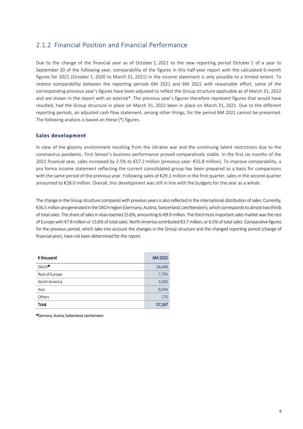### <span id="page-5-0"></span>2.1.2 Financial Position and Financial Performance

Due to the change of the financial year as of October 1, 2021 to the new reporting period October 1 of a year to September 30 of the following year, comparability of the figures in this half-year report with the calculated 6-month figures for 2021 (October 1, 2020 to March 31, 2021) in the income statement is only possible to a limited extent. To restore comparability between the reporting periods 6M 2021 and 6M 2022 with reasonable effort, some of the corresponding previous year's figures have been adjusted to reflect the Group structure applicable as of March 31, 2022 and are shown in the report with an asterisk\*. The previous year's figures therefore represent figures that would have resulted, had the Group structure in place on March 31, 2022 been in place on March 31, 2021. Due to the different reporting periods, an adjusted cash flow statement, among other things, for the period 6M 2021 cannot be presented. The following analysis is based on these (\*) figures.

#### **Sales development**

In view of the gloomy environment resulting from the Ukraine war and the continuing latent restrictions due to the coronavirus pandemic, First Sensor's business performance proved comparatively stable. In the first six months of the 2022 financial year, sales increased by 2.5% to €57.2 million (previous year: €55.8 million). To improve comparability, a pro forma income statement reflecting the current consolidated group has been prepared as a basis for comparisons with the same period of the previous year. Following sales of €29.1 million in the first quarter, sales in the second quarter amounted to €28.0 million. Overall, this development was still in line with the budgets for the year as a whole.

The change in the Group structure compared with previous years is also reflected in the international distribution of sales. Currently, €36.5million are generated in the DACH region (Germany, Austria, Switzerland, Liechtenstein), which corresponds to almost two thirds of total sales. The share of sales in Asia reached 15.6%, amounting to €8.9million. The third most important sales market was the rest of Europe with €7.8 million or 13.6% of total sales. North America contributed €3.7million, or 6.5% of total sales. Comparative figures for the previous period, which take into account the changes in the Group structure and the changed reporting period (change of financial year), have not been determined for this report.

| $\epsilon$ thousand | 6M 2022 |
|---------------------|---------|
| DACH <sup>O</sup>   | 36,468  |
| Rest of Europe      | 7,795   |
| North America       | 3,690   |
| Asia                | 8,944   |
| Others              | 270     |
| Total               | 57,167  |

Germany, Austria, Switzerland, Liechtenstein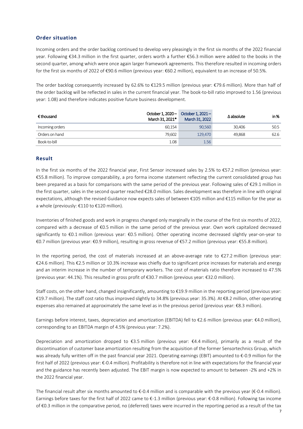#### **Order situation**

Incoming orders and the order backlog continued to develop very pleasingly in the first six months of the 2022 financial year. Following €34.3 million in the first quarter, orders worth a further €56.3 million were added to the books in the second quarter, among which were once again larger framework agreements. This therefore resulted in incoming orders for the first six months of 2022 of €90.6 million (previous year: €60.2 million), equivalent to an increase of 50.5%.

The order backlog consequently increased by 62.6% to €129.5 million (previous year: €79.6 million). More than half of the order backlog will be reflected in sales in the current financial year. The book-to-bill ratio improved to 1.56 (previous year: 1.08) and therefore indicates positive future business development.

| € thousand      | October 1, 2020-<br>March 31, 2021* | October 1, $2021 -$<br>March 31, 2022 | $\Delta$ absolute | in % |
|-----------------|-------------------------------------|---------------------------------------|-------------------|------|
| Incoming orders | 60.154                              | 90.560                                | 30.406            | 50.5 |
| Orders on hand  | 79.602                              | 129.470                               | 49.868            | 62.6 |
| Book-to-bill    | 1.08                                | 1.56                                  |                   |      |

#### **Result**

In the first six months of the 2022 financial year, First Sensor increased sales by 2.5% to €57.2 million (previous year: €55.8 million). To improve comparability, a pro forma income statement reflecting the current consolidated group has been prepared as a basis for comparisons with the same period of the previous year. Following sales of €29.1 million in the first quarter, sales in the second quarter reached €28.0 million. Sales development was therefore in line with original expectations, although the revised Guidance now expects sales of between €105 million and €115 million for the year as a whole (previously: €110 to €120 million).

Inventories of finished goods and work in progress changed only marginally in the course of the first six months of 2022, compared with a decrease of €0.5 million in the same period of the previous year. Own work capitalized decreased significantly to €0.1 million (previous year: €0.5 million). Other operating income decreased slightly year-on-year to €0.7 million (previous year: €0.9 million), resulting in gross revenue of €57.2 million (previous year: €55.8 million).

In the reporting period, the cost of materials increased at an above-average rate to  $\epsilon$ 27.2 million (previous year: €24.6 million). This €2.5 million or 10.3% increase was chiefly due to significant price increases for materials and energy and an interim increase in the number of temporary workers. The cost of materials ratio therefore increased to 47.5% (previous year: 44.1%). This resulted in gross profit of €30.7 million (previous year: €32.0 million).

Staff costs, on the other hand, changed insignificantly, amounting to  $\epsilon$ 19.9 million in the reporting period (previous year: €19.7 million). The staff cost ratio thus improved slightly to 34.8% (previous year: 35.3%). At €8.2 million, other operating expenses also remained at approximately the same level as in the previous period (previous year: €8.3 million).

Earnings before interest, taxes, depreciation and amortization (EBITDA) fell to €2.6 million (previous year: €4.0 million), corresponding to an EBITDA margin of 4.5% (previous year: 7.2%).

Depreciation and amortization dropped to €3.5 million (previous year: €4.4 million), primarily as a result of the discontinuation of customer base amortization resulting from the acquisition of the former Sensortechnics Group, which was already fully written off in the past financial year 2021. Operating earnings (EBIT) amounted to €-0.9 million for the first half of 2022 (previous year: €-0.4 million). Profitability is therefore not in line with expectations for the financial year and the guidance has recently been adjusted. The EBIT margin is now expected to amount to between -2% and +2% in the 2022 financial year.

The financial result after six months amounted to  $\epsilon$ -0.4 million and is comparable with the previous year ( $\epsilon$ -0.4 million). Earnings before taxes for the first half of 2022 came to €-1.3 million (previous year: €-0.8 million). Following tax income of €0.3 million in the comparative period, no (deferred) taxes were incurred in the reporting period as a result of the tax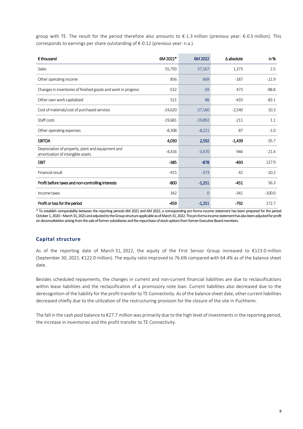group with TE. The result for the period therefore also amounts to €-1.3 million (previous year: €-0.5 million). This corresponds to earnings per share outstanding of €-0.12 (previous year: n.a.).

| $\epsilon$ thousand                                                                    | 6M 2021*  | 6M 2022        | $\Delta$ absolute | in%      |
|----------------------------------------------------------------------------------------|-----------|----------------|-------------------|----------|
| Sales                                                                                  | 55,793    | 57,167         | 1,373             | 2.5      |
| Other operating income                                                                 | 856       | 669            | $-187$            | $-21.9$  |
| Changes in inventories of finished goods and work in progress                          | $-532$    | $-59$          | 473               | $-88.8$  |
| Other own work capitalized                                                             | 521       | 88             | $-433$            | $-83.1$  |
| Cost of materials/cost of purchased services                                           | $-24,620$ | $-27,160$      | $-2,540$          | 10.3     |
| Staff costs                                                                            | $-19,681$ | $-19,892$      | $-211$            | 1.1      |
| Other operating expenses                                                               | $-8,308$  | $-8,221$       | 87                | $-1.0$   |
| <b>EBITDA</b>                                                                          | 4,030     | 2,592          | $-1,439$          | $-35.7$  |
| Depreciation of property, plant and equipment and<br>amortization of intangible assets | $-4,416$  | $-3,470$       | 946               | $-21.4$  |
| <b>EBIT</b>                                                                            | $-385$    | $-878$         | $-493$            | 127.9    |
| Financial result                                                                       | $-415$    | $-373$         | 42                | $-10.2$  |
| Profit before taxes and non-controlling interests                                      | $-800$    | $-1,251$       | $-451$            | 56.3     |
| Income taxes                                                                           | 342       | $\overline{0}$ | $-341$            | $-100.0$ |
| Profit or loss for the period                                                          | -459      | $-1,251$       | $-792$            | 172.7    |

\* To establish comparability between the reporting periods 6M 2021 and 6M 2022, a corresponding pro forma income statement has been prepared for the period October 1, 2020 – March 31, 2021 and adjusted to the Group structure applicable as of March 31, 2022. The pro forma income statement has also been adjusted for profit on deconsolidation arising from the sale of former subsidiaries and the repurchase of stock options from former Executive Board members.

#### **Capital structure**

As of the reporting date of March 31, 2022, the equity of the First Sensor Group increased to €123.0 million (September 30, 2021: €122.0 million). The equity ratio improved to 76.6% compared with 64.4% as of the balance sheet date.

Besides scheduled repayments, the changes in current and non-current financial liabilities are due to reclassifications within lease liabilities and the reclassification of a promissory note loan. Current liabilities also decreased due to the derecognition of the liability for the profit transfer to TE Connectivity. As of the balance sheet date, other current liabilities decreased chiefly due to the utilization of the restructuring provision for the closure of the site in Puchheim.

The fall in the cash pool balance to €27.7 million was primarily due to the high level of investments in the reporting period, the increase in inventories and the profit transfer to TE Connectivity.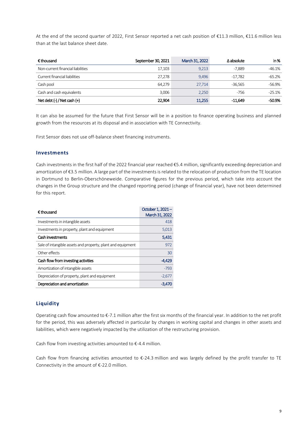At the end of the second quarter of 2022, First Sensor reported a net cash position of €11.3 million, €11.6 million less than at the last balance sheet date.

| € thousand                        | September 30, 2021 | March 31, 2022 | $\Delta$ absolute | in %     |
|-----------------------------------|--------------------|----------------|-------------------|----------|
| Non-current financial liabilities | 17,103             | 9,213          | -7.889            | $-46.1%$ |
| Current financial liabilities     | 27,278             | 9,496          | $-17,782$         | -65.2%   |
| Cash pool                         | 64,279             | 27,714         | $-36.565$         | $-56.9%$ |
| Cash and cash equivalents         | 3.006              | 2,250          | -756              | $-25.1%$ |
| Net debt $(-)$ / Net cash $(+)$   | 22,904             | 11,255         | $-11.649$         | -50.9%   |

It can also be assumed for the future that First Sensor will be in a position to finance operating business and planned growth from the resources at its disposal and in association with TE Connectivity.

First Sensor does not use off-balance sheet financing instruments.

#### **Investments**

Cash investments in the first half of the 2022 financial year reached €5.4 million, significantly exceeding depreciation and amortization of €3.5 million. A large part of the investments is related to the relocation of production from the TE location in Dortmund to Berlin-Oberschöneweide. Comparative figures for the previous period, which take into account the changes in the Group structure and the changed reporting period (change of financial year), have not been determined for this report.

| $\epsilon$ thousand                                         | October 1, 2021-<br>March 31, 2022 |  |
|-------------------------------------------------------------|------------------------------------|--|
| Investments in intangible assets                            | 418                                |  |
| Investments in property, plant and equipment                | 5,013                              |  |
| Cash investments                                            | 5,431                              |  |
| Sale of intangible assets and property, plant and equipment | 972                                |  |
| Other effects                                               | 30                                 |  |
| Cash flow from investing activities                         | -4,429                             |  |
| Amortization of intangible assets                           | $-793$                             |  |
| Depreciation of property, plant and equipment               | $-2,677$                           |  |
| Depreciation and amortization                               | -3.470                             |  |

#### **Liquidity**

Operating cash flow amounted to €-7.1 million after the first six months of the financial year. In addition to the net profit for the period, this was adversely affected in particular by changes in working capital and changes in other assets and liabilities, which were negatively impacted by the utilization of the restructuring provision.

Cash flow from investing activities amounted to €-4.4 million.

Cash flow from financing activities amounted to €-24.3 million and was largely defined by the profit transfer to TE Connectivity in the amount of €-22.0 million.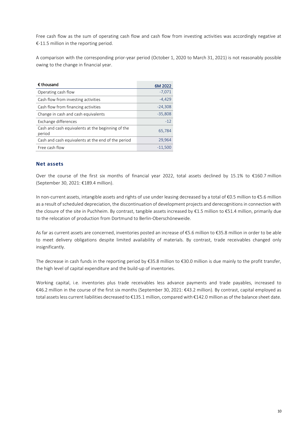Free cash flow as the sum of operating cash flow and cash flow from investing activities was accordingly negative at €-11.5 million in the reporting period.

A comparison with the corresponding prior-year period (October 1, 2020 to March 31, 2021) is not reasonably possible owing to the change in financial year.

| € thousand                                                  | 6M 2022   |
|-------------------------------------------------------------|-----------|
| Operating cash flow                                         | $-7,071$  |
| Cash flow from investing activities                         | $-4,429$  |
| Cash flow from financing activities                         | $-24,308$ |
| Change in cash and cash equivalents                         | $-35,808$ |
| Exchange differences                                        | $-12$     |
| Cash and cash equivalents at the beginning of the<br>period | 65,784    |
| Cash and cash equivalents at the end of the period          | 29,964    |
| Free cash flow                                              | $-11,500$ |

#### **Net assets**

Over the course of the first six months of financial year 2022, total assets declined by 15.1% to €160.7 million (September 30, 2021: €189.4 million).

In non-current assets, intangible assets and rights of use under leasing decreased by a total of €0.5 million to €5.6 million as a result of scheduled depreciation, the discontinuation of development projects and derecognitions in connection with the closure of the site in Puchheim. By contrast, tangible assets increased by €1.5 million to €51.4 million, primarily due to the relocation of production from Dortmund to Berlin-Oberschöneweide.

As far as current assets are concerned, inventories posted an increase of €5.6 million to €35.8 million in order to be able to meet delivery obligations despite limited availability of materials. By contrast, trade receivables changed only insignificantly.

The decrease in cash funds in the reporting period by €35.8 million to €30.0 million is due mainly to the profit transfer, the high level of capital expenditure and the build-up of inventories.

Working capital, i.e. inventories plus trade receivables less advance payments and trade payables, increased to €46.2 million in the course of the first six months (September 30, 2021: €43.2 million). By contrast, capital employed as total assets less current liabilities decreased to €135.1 million, compared with €142.0 million as of the balance sheet date.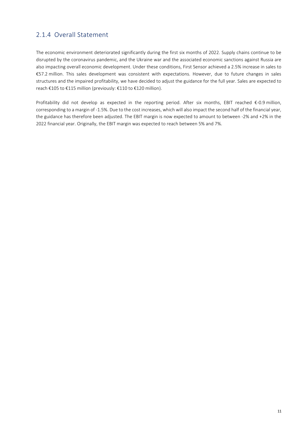### <span id="page-10-0"></span>2.1.4 Overall Statement

The economic environment deteriorated significantly during the first six months of 2022. Supply chains continue to be disrupted by the coronavirus pandemic, and the Ukraine war and the associated economic sanctions against Russia are also impacting overall economic development. Under these conditions, First Sensor achieved a 2.5% increase in sales to €57.2 million. This sales development was consistent with expectations. However, due to future changes in sales structures and the impaired profitability, we have decided to adjust the guidance for the full year. Sales are expected to reach €105 to €115 million (previously: €110 to €120 million).

Profitability did not develop as expected in the reporting period. After six months, EBIT reached €-0.9 million, corresponding to a margin of -1.5%. Due to the cost increases, which will also impact the second half of the financial year, the guidance has therefore been adjusted. The EBIT margin is now expected to amount to between -2% and +2% in the 2022 financial year. Originally, the EBIT margin was expected to reach between 5% and 7%.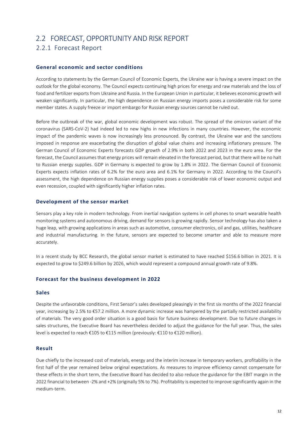# <span id="page-11-0"></span>2.2 FORECAST, OPPORTUNITY AND RISK REPORT

### <span id="page-11-1"></span>2.2.1 Forecast Report

#### **General economic and sector conditions**

According to statements by the German Council of Economic Experts, the Ukraine war is having a severe impact on the outlook for the global economy. The Council expects continuing high prices for energy and raw materials and the loss of food and fertilizer exports from Ukraine and Russia. In the European Union in particular, it believes economic growth will weaken significantly. In particular, the high dependence on Russian energy imports poses a considerable risk for some member states. A supply freeze or import embargo for Russian energy sources cannot be ruled out.

Before the outbreak of the war, global economic development was robust. The spread of the omicron variant of the coronavirus (SARS-CoV-2) had indeed led to new highs in new infections in many countries. However, the economic impact of the pandemic waves is now increasingly less pronounced. By contrast, the Ukraine war and the sanctions imposed in response are exacerbating the disruption of global value chains and increasing inflationary pressure. The German Council of Economic Experts forecasts GDP growth of 2.9% in both 2022 and 2023 in the euro area. For the forecast, the Council assumes that energy prices will remain elevated in the forecast period, but that there will be no halt to Russian energy supplies. GDP in Germany is expected to grow by 1.8% in 2022. The German Council of Economic Experts expects inflation rates of 6.2% for the euro area and 6.1% for Germany in 2022. According to the Council's assessment, the high dependence on Russian energy supplies poses a considerable risk of lower economic output and even recession, coupled with significantly higher inflation rates.

#### **Development of the sensor market**

Sensors play a key role in modern technology. From inertial navigation systems in cell phones to smart wearable health monitoring systems and autonomous driving, demand for sensors is growing rapidly. Sensor technology has also taken a huge leap, with growing applications in areas such as automotive, consumer electronics, oil and gas, utilities, healthcare and industrial manufacturing. In the future, sensors are expected to become smarter and able to measure more accurately.

In a recent study by BCC Research, the global sensor market is estimated to have reached \$156.6 billion in 2021. It is expected to grow to \$249.6 billion by 2026, which would represent a compound annual growth rate of 9.8%.

#### **Forecast for the business development in 2022**

#### **Sales**

Despite the unfavorable conditions, First Sensor's sales developed pleasingly in the first six months of the 2022 financial year, increasing by 2.5% to €57.2 million. A more dynamic increase was hampered by the partially restricted availability of materials. The very good order situation is a good basis for future business development. Due to future changes in sales structures, the Executive Board has nevertheless decided to adjust the guidance for the full year. Thus, the sales level is expected to reach €105 to €115 million (previously: €110 to €120 million).

#### **Result**

Due chiefly to the increased cost of materials, energy and the interim increase in temporary workers, profitability in the first half of the year remained below original expectations. As measures to improve efficiency cannot compensate for these effects in the short term, the Executive Board has decided to also reduce the guidance for the EBIT margin in the 2022 financial to between -2% and +2% (originally 5% to 7%). Profitability is expected to improve significantly again in the medium-term.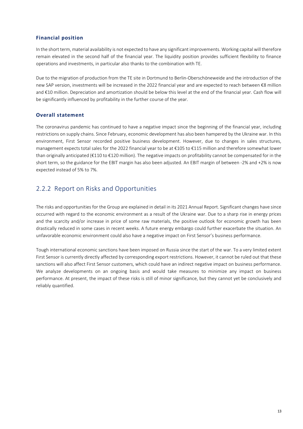#### **Financial position**

In the short term, material availability is not expected to have any significant improvements. Working capital will therefore remain elevated in the second half of the financial year. The liquidity position provides sufficient flexibility to finance operations and investments, in particular also thanks to the combination with TE.

Due to the migration of production from the TE site in Dortmund to Berlin-Oberschöneweide and the introduction of the new SAP version, investments will be increased in the 2022 financial year and are expected to reach between €8 million and €10 million. Depreciation and amortization should be below this level at the end of the financial year. Cash flow will be significantly influenced by profitability in the further course of the year.

#### **Overall statement**

The coronavirus pandemic has continued to have a negative impact since the beginning of the financial year, including restrictions on supply chains. Since February, economic development has also been hampered by the Ukraine war. In this environment, First Sensor recorded positive business development. However, due to changes in sales structures, management expects total sales for the 2022 financial year to be at €105 to €115 million and therefore somewhat lower than originally anticipated (€110 to €120 million). The negative impacts on profitability cannot be compensated for in the short term, so the guidance for the EBIT margin has also been adjusted. An EBIT margin of between -2% and +2% is now expected instead of 5% to 7%.

### <span id="page-12-0"></span>2.2.2 Report on Risks and Opportunities

The risks and opportunities for the Group are explained in detail in its 2021 Annual Report. Significant changes have since occurred with regard to the economic environment as a result of the Ukraine war. Due to a sharp rise in energy prices and the scarcity and/or increase in price of some raw materials, the positive outlook for economic growth has been drastically reduced in some cases in recent weeks. A future energy embargo could further exacerbate the situation. An unfavorable economic environment could also have a negative impact on First Sensor's business performance.

Tough international economic sanctions have been imposed on Russia since the start of the war. To a very limited extent First Sensor is currently directly affected by corresponding export restrictions. However, it cannot be ruled out that these sanctions will also affect First Sensor customers, which could have an indirect negative impact on business performance. We analyze developments on an ongoing basis and would take measures to minimize any impact on business performance. At present, the impact of these risks is still of minor significance, but they cannot yet be conclusively and reliably quantified.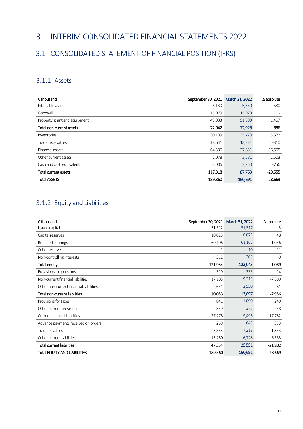# <span id="page-13-0"></span>3. INTERIM CONSOLIDATED FINANCIAL STATEMENTS 2022

# <span id="page-13-1"></span>3.1 CONSOLIDATED STATEMENT OF FINANCIAL POSITION (IFRS)

### <span id="page-13-2"></span>3.1.1 Assets

| $\epsilon$ thousand              | September 30, 2021 | March 31, 2022 | $\Delta$ absolute |
|----------------------------------|--------------------|----------------|-------------------|
| Intangible assets                | 6,130              | 5,550          | $-580$            |
| Goodwill                         | 15,979             | 15,979         |                   |
| Property, plant and equipment    | 49,933             | 51,399         | 1,467             |
| Total non-current assets         | 72,042             | 72,928         | 886               |
| <i><u><b>Inventories</b></u></i> | 30,199             | 35,770         | 5,572             |
| Trade receivables                | 18,641             | 18,331         | $-310$            |
| Financial assets                 | 64,396             | 27,831         | $-36,565$         |
| Other current assets             | 1,078              | 3,581          | 2,503             |
| Cash and cash equivalents        | 3,006              | 2,250          | $-756$            |
| Total current assets             | 117,318            | 87,763         | $-29,555$         |
| <b>Total ASSETS</b>              | 189,360            | 160,691        | $-28,669$         |

### <span id="page-13-3"></span>3.1.2 Equity and Liabilities

| € thousand                              | September 30, 2021 | March 31, 2022 | $\Delta$ absolute |
|-----------------------------------------|--------------------|----------------|-------------------|
| Issued capital                          | 51,512             | 51,517         | 5                 |
| Capital reserves                        | 10,023             | 10,071         | 48                |
| Retained earnings                       | 60,106             | 61,162         | 1,056             |
| Other reserves                          | 1                  | $-10$          | $-11$             |
| Non-controlling interests               | 312                | 303            | $-9$              |
| Total equity                            | 121,954            | 123,043        | 1,089             |
| Provisions for pensions                 | 319                | 333            | 14                |
| Non-current financial liabilities       | 17,103             | 9,213          | $-7,889$          |
| Other non-current financial liabilities | 2,631              | 2,550          | $-81$             |
| Total non-current liabilities           | 20,053             | 12,097         | $-7,956$          |
| Provisions for taxes                    | 841                | 1,090          | 249               |
| Other current provisions                | 339                | 377            | 38                |
| Current financial liabilities           | 27,278             | 9,496          | $-17,782$         |
| Advance payments received on orders     | 269                | 643            | 373               |
| Trade payables                          | 5,365              | 7,218          | 1,853             |
| Other current liabilities               | 13,260             | 6,728          | $-6,533$          |
| <b>Total current liabilities</b>        | 47,354             | 25,551         | $-21,802$         |
| <b>Total EQUITY AND LIABILITIES</b>     | 189,360            | 160,691        | $-28,669$         |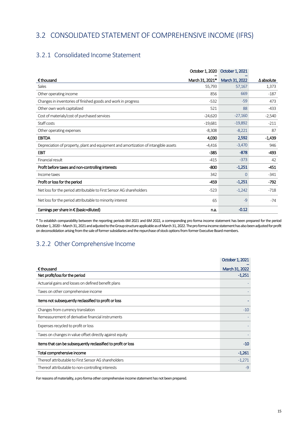# <span id="page-14-0"></span>3.2 CONSOLIDATED STATEMENT OF COMPREHENSIVE INCOME (IFRS)

### <span id="page-14-1"></span>3.2.1 Consolidated Income Statement

|                                                                                     | October 1, 2020 | October 1, 2021 |                   |
|-------------------------------------------------------------------------------------|-----------------|-----------------|-------------------|
| $\epsilon$ thousand                                                                 | March 31, 2021* | March 31, 2022  | $\Delta$ absolute |
| Sales                                                                               | 55,793          | 57,167          | 1,373             |
| Other operating income                                                              | 856             | 669             | $-187$            |
| Changes in inventories of finished goods and work in progress                       | $-532$          | $-59$           | 473               |
| Other own work capitalized                                                          | 521             | 88              | $-433$            |
| Cost of materials/cost of purchased services                                        | $-24,620$       | $-27,160$       | $-2,540$          |
| Staff costs                                                                         | $-19,681$       | $-19,892$       | $-211$            |
| Other operating expenses                                                            | $-8,308$        | $-8,221$        | 87                |
| <b>EBITDA</b>                                                                       | 4,030           | 2,592           | $-1,439$          |
| Depreciation of property, plant and equipment and amortization of intangible assets | $-4,416$        | $-3,470$        | 946               |
| <b>EBIT</b>                                                                         | $-385$          | $-878$          | -493              |
| Financial result                                                                    | $-415$          | $-373$          | 42                |
| Profit before taxes and non-controlling interests                                   | $-800$          | $-1,251$        | $-451$            |
| Income taxes                                                                        | 342             | $\Omega$        | $-341$            |
| Profit or loss for the period                                                       | -459            | $-1,251$        | $-792$            |
| Net loss for the period attributable to First Sensor AG shareholders                | $-523$          | $-1,242$        | $-718$            |
| Net loss for the period attributable to minority interest                           | 65              | $-9$            | $-74$             |
| Earnings per share in $\epsilon$ (basic=diluted)                                    | n.a.            | $-0.12$         |                   |

\* To establish comparability between the reporting periods 6M 2021 and 6M 2022, a corresponding pro forma income statement has been prepared for the period October 1, 2020 – March 31, 2021 and adjusted to the Group structure applicable as of March 31, 2022. The pro forma income statement has also been adjusted for profit on deconsolidation arising from the sale of former subsidiaries and the repurchase of stock options from former Executive Board members.

### <span id="page-14-2"></span>3.2.2 Other Comprehensive Income

|                                                               | October 1, 2021 |
|---------------------------------------------------------------|-----------------|
| $\epsilon$ thousand                                           | March 31, 2022  |
| Net profit/loss for the period                                | $-1,251$        |
| Actuarial gains and losses on defined benefit plans           |                 |
| Taxes on other comprehensive income                           |                 |
| Items not subsequently reclassified to profit or loss         |                 |
| Changes from currency translation                             | $-10$           |
| Remeasurement of derivative financial instruments             |                 |
| Expenses recycled to profit or loss                           |                 |
| Taxes on changes in value offset directly against equity      |                 |
| Items that can be subsequently reclassified to profit or loss | $-10$           |
| Total comprehensive income                                    | $-1,261$        |
| Thereof attributable to First Sensor AG shareholders          | $-1,271$        |
| Thereof attributable to non-controlling interests             | $-9$            |

For reasons of materiality, a pro forma other comprehensive income statement has not been prepared.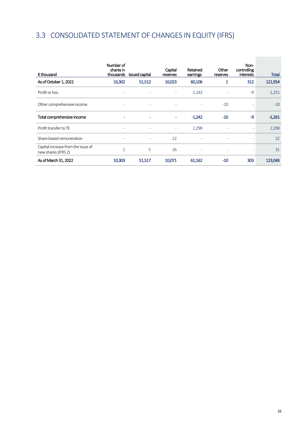# <span id="page-15-0"></span>3.3 CONSOLIDATED STATEMENT OF CHANGES IN EQUITY (IFRS)

| $\epsilon$ thousand                                       | Number of<br>shares in<br>thousands | Issued capital | Capital<br>reserves | Retained<br>earnings     | Other<br>reserves        | Non-<br>controlling<br><b>interests</b> | <b>Total</b> |
|-----------------------------------------------------------|-------------------------------------|----------------|---------------------|--------------------------|--------------------------|-----------------------------------------|--------------|
| As of October 1, 2021                                     | 10,302                              | 51,512         | 10,023              | 60,106                   | 1                        | 312                                     | 121,954      |
| Profit or loss                                            |                                     |                | ٠                   | $-1,242$                 | ۰                        | $-9$                                    | $-1,251$     |
| Other comprehensive income                                | ٠                                   | ٠              |                     |                          | $-10$                    | ٠                                       | $-10$        |
| Total comprehensive income                                | ٠                                   | ٠              | ٠                   | $-1,242$                 | $-10$                    | -9                                      | $-1,261$     |
| Profit transfer to TE                                     | ٠                                   | ٠              | ٠                   | 2,298                    | $\overline{a}$           | ۰                                       | 2,298        |
| Share-based remuneration                                  |                                     | ۰              | 22                  |                          | $\overline{\phantom{a}}$ | ٠                                       | 22           |
| Capital increase from the issue of<br>new shares (IFRS 2) | h                                   | 5              | 26                  | $\overline{\phantom{a}}$ | ٠                        | ٠                                       | 31           |
| As of March 31, 2022                                      | 10,303                              | 51,517         | 10,071              | 61,162                   | $-10$                    | 303                                     | 123,043      |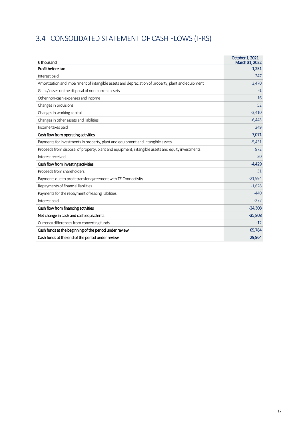# <span id="page-16-0"></span>3.4 CONSOLIDATED STATEMENT OF CASH FLOWS (IFRS)

| $\epsilon$ thousand                                                                                | October 1, 2021-<br>March 31, 2022 |
|----------------------------------------------------------------------------------------------------|------------------------------------|
| Profit before tax                                                                                  | $-1,251$                           |
| Interest paid                                                                                      | 247                                |
| Amortization and impairment of intangible assets and depreciation of property, plant and equipment | 3,470                              |
| Gains/losses on the disposal of non-current assets                                                 | $-1$                               |
| Other non-cash expenses and income                                                                 | 16                                 |
| Changes in provisions                                                                              | 52                                 |
| Changes in working capital                                                                         | $-3,410$                           |
| Changes in other assets and liabilities                                                            | $-6,443$                           |
| Income taxes paid                                                                                  | 249                                |
| Cash flow from operating activities                                                                | $-7,071$                           |
| Payments for investments in property, plant and equipment and intangible assets                    | $-5,431$                           |
| Proceeds from disposal of property, plant and equipment, intangible assets and equity investments  | 972                                |
| Interest received                                                                                  | 30                                 |
| Cash flow from investing activities                                                                | $-4,429$                           |
| Proceeds from shareholders                                                                         | 31                                 |
| Payments due to profit transfer agreement with TE Connectivity                                     | $-21,994$                          |
| Repayments of financial liabilities                                                                | $-1,628$                           |
| Payments for the repayment of leasing liabilities                                                  | $-440$                             |
| Interest paid                                                                                      | $-277$                             |
| Cash flow from financing activities                                                                | $-24,308$                          |
| Net change in cash and cash equivalents                                                            | $-35,808$                          |
| Currency differences from converting funds                                                         | $-12$                              |
| Cash funds at the beginning of the period under review                                             | 65,784                             |
| Cash funds at the end of the period under review                                                   | 29,964                             |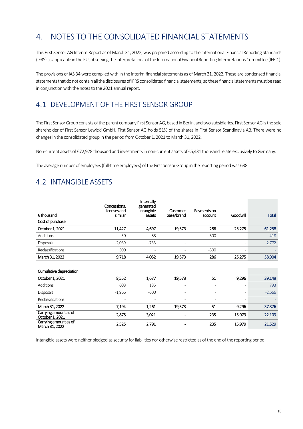# <span id="page-17-0"></span>4. NOTES TO THE CONSOLIDATED FINANCIAL STATEMENTS

This First Sensor AG Interim Report as of March 31, 2022, was prepared according to the International Financial Reporting Standards (IFRS) as applicable in the EU, observing the interpretations of the International Financial Reporting Interpretations Committee (IFRIC).

The provisions of IAS 34 were complied with in the interim financial statements as of March 31, 2022. These are condensed financial statements that do not contain all the disclosures of IFRS consolidated financial statements, so these financial statements must be read in conjunction with the notes to the 2021 annual report.

# <span id="page-17-1"></span>4.1 DEVELOPMENT OF THE FIRST SENSOR GROUP

The First Sensor Group consists of the parent company First Sensor AG, based in Berlin, and two subsidiaries. First Sensor AGis the sole shareholder of First Sensor Lewicki GmbH. First Sensor AG holds 51% of the shares in First Sensor Scandinavia AB. There were no changes in the consolidated group in the period from October 1, 2021 to March 31, 2022.

Non-current assets of €72,928 thousand and investments in non-current assets of €5,431 thousand relate exclusively to Germany.

The average number of employees (full-time employees) of the First Sensor Group in the reporting period was 638.

# <span id="page-17-2"></span>4.2 INTANGIBLE ASSETS

|                                          | Concessions,<br>licenses and | Internally<br>generated<br>intangible | Customer                 | Payments on              |          |              |
|------------------------------------------|------------------------------|---------------------------------------|--------------------------|--------------------------|----------|--------------|
| $\epsilon$ thousand                      | similar                      | assets                                | base/brand               | account                  | Goodwill | <b>Total</b> |
| Cost of purchase                         |                              |                                       |                          |                          |          |              |
| October 1, 2021                          | 11,427                       | 4,697                                 | 19,573                   | 286                      | 25,275   | 61,258       |
| <b>Additions</b>                         | 30                           | 88                                    |                          | 300                      |          | 418          |
| <b>Disposals</b>                         | $-2,039$                     | $-733$                                |                          |                          |          | $-2,772$     |
| Reclassifications                        | 300                          |                                       |                          | $-300$                   |          |              |
| March 31, 2022                           | 9,718                        | 4,052                                 | 19,573                   | 286                      | 25,275   | 58,904       |
|                                          |                              |                                       |                          |                          |          |              |
| Cumulative depreciation                  |                              |                                       |                          |                          |          |              |
| October 1, 2021                          | 8,552                        | 1,677                                 | 19,573                   | 51                       | 9,296    | 39,149       |
| <b>Additions</b>                         | 608                          | 185                                   | $\overline{\phantom{a}}$ | $\overline{\phantom{a}}$ |          | 793          |
| <b>Disposals</b>                         | $-1,966$                     | $-600$                                | $\overline{a}$           | $\overline{\phantom{a}}$ |          | $-2,566$     |
| Reclassifications                        |                              |                                       | ٠                        | ٠                        |          |              |
| March 31, 2022                           | 7,194                        | 1,261                                 | 19,573                   | 51                       | 9,296    | 37,376       |
| Carrying amount as of<br>October 1, 2021 | 2,875                        | 3,021                                 |                          | 235                      | 15,979   | 22,109       |
| Carrying amount as of<br>March 31, 2022  | 2,525                        | 2,791                                 |                          | 235                      | 15,979   | 21,529       |

Intangible assets were neither pledged as security for liabilities nor otherwise restricted as of the end of the reporting period.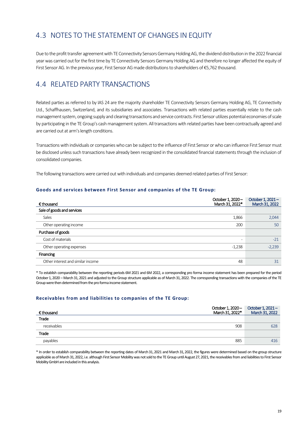# <span id="page-18-0"></span>4.3 NOTES TO THE STATEMENT OF CHANGES IN EQUITY

Due to the profit transfer agreement with TE Connectivity Sensors Germany Holding AG, the dividend distribution in the 2022 financial year was carried out for the first time by TE Connectivity Sensors Germany Holding AG and therefore no longer affected the equity of First Sensor AG. In the previous year, First Sensor AG made distributions to shareholders of €5,762 thousand.

### <span id="page-18-1"></span>4.4 RELATED PARTY TRANSACTIONS

Related parties as referred to by IAS 24 are the majority shareholder TE Connectivity Sensors Germany Holding AG, TE Connectivity Ltd., Schaffhausen, Switzerland, and its subsidiaries and associates. Transactions with related parties essentially relate to the cash management system, ongoing supply and clearing transactions and service contracts. First Sensor utilizes potential economies of scale by participating in the TE Group's cash management system. All transactions with related parties have been contractually agreed and are carried out at arm's length conditions.

Transactions with individuals or companies who can be subject to the influence of First Sensor or who can influence First Sensor must be disclosed unless such transactions have already been recognized in the consolidated financial statements through the inclusion of consolidated companies.

The following transactions were carried out with individuals and companies deemed related parties of First Sensor:

#### **Goods and services between First Sensor and companies of the TE Group:**

| $\epsilon$ thousand               | October 1, 2020-<br>March 31, 2022* | October 1, 2021-<br>March 31, 2022 |
|-----------------------------------|-------------------------------------|------------------------------------|
| Sale of goods and services        |                                     |                                    |
| Sales                             | 1,866                               | 2,044                              |
| Other operating income            | 200                                 | 50                                 |
| Purchase of goods                 |                                     |                                    |
| Cost of materials                 |                                     | $-21$                              |
| Other operating expenses          | $-1,238$                            | $-2,239$                           |
| Financing                         |                                     |                                    |
| Other interest and similar income | 48                                  | 31                                 |

\* To establish comparability between the reporting periods 6M 2021 and 6M 2022, a corresponding pro forma income statement has been prepared for the period October 1, 2020 – March 31, 2021 and adjusted to the Group structure applicable as of March 31, 2022. The corresponding transactions with the companies of the TE Group were then determined from the pro forma income statement.

#### **Receivables from and liabilities to companies of the TE Group:**

| € thousand  | October 1, 2020 – | October 1, 2021-<br>March 31, 2022* March 31, 2022 |
|-------------|-------------------|----------------------------------------------------|
| Trade       |                   |                                                    |
| receivables | 908               | 628                                                |
| Trade       |                   |                                                    |
| payables    | 885               | 416                                                |

\* In order to establish comparability between the reporting dates of March31,2021 and March 31,2022, the figures were determined based on the group structure applicable as of March 31, 2022, i.e. although First Sensor Mobility was not sold to the TE Group until August 27, 2021, the receivables from and liabilities to First Sensor Mobility GmbH are included in this analysis.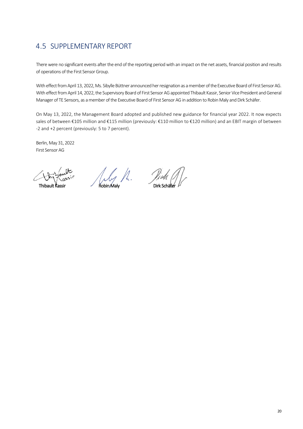# <span id="page-19-0"></span>4.5 SUPPLEMENTARY REPORT

There were no significant events after the end of the reporting period with an impact on the net assets, financial position and results of operations of the First Sensor Group.

With effect from April 13, 2022, Ms. Sibylle Büttner announced her resignation as a member of the Executive Board of First Sensor AG. With effect from April 14, 2022, the Supervisory Board of First Sensor AG appointed Thibault Kassir, Senior Vice President and General Manager of TE Sensors, as a member of the Executive Board of First Sensor AG in addition to Robin Maly and Dirk Schäfer.

On May 13, 2022, the Management Board adopted and published new guidance for financial year 2022. It now expects sales of between €105 million and €115 million (previously: €110 million to €120 million) and an EBIT margin of between -2 and +2 percent (previously: 5 to 7 percent).

Berlin, May 31, 2022 First Sensor AG

 $\bigcup_{\alpha \in S^i} \bigcup_{r=1}^{\infty} \bigcup_{\alpha \in S^i} \bigcup_{\alpha \in S^i} \bigcup_{\beta \in S^i} \bigcup_{\beta \in S^i} \bigcup_{\beta \in S^i} \bigcup_{\beta \in S^i} \bigcup_{\beta \in S^i} \bigcup_{\beta \in S^i} \bigcup_{\beta \in S^i} \bigcup_{\beta \in S^i} \bigcup_{\beta \in S^i} \bigcup_{\beta \in S^i} \bigcup_{\beta \in S^i} \bigcup_{\beta \in S^i} \bigcup_{\beta \in S^i} \bigcup_{\beta \in S^i} \bigcup$ 

И.